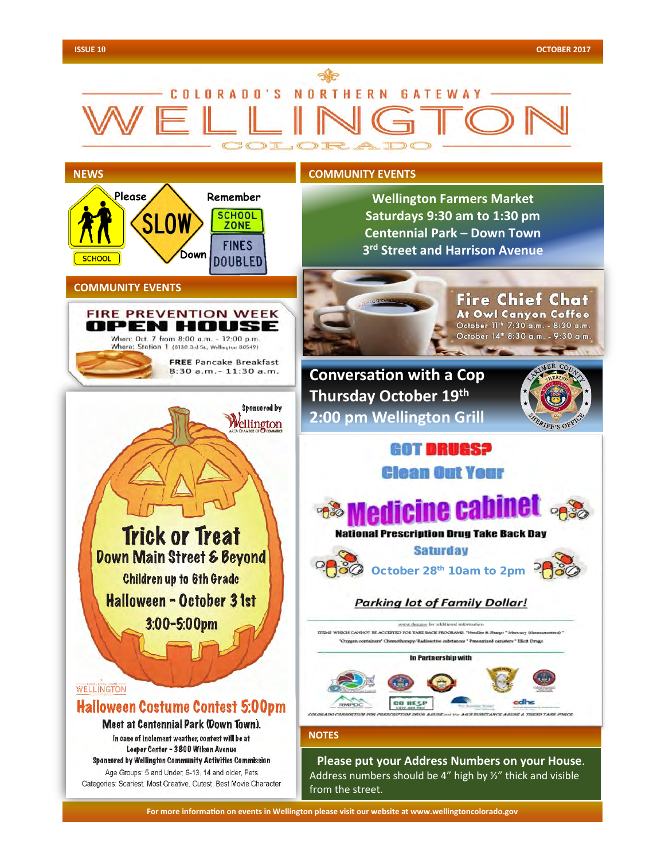# COLORADO'S NORTHERN GATEWAY



**For more information on events in Wellington please visit our website at www.wellingtoncolorado.gov For more information on events in Wellington please visit our website at www.wellingtoncolorado.gov**